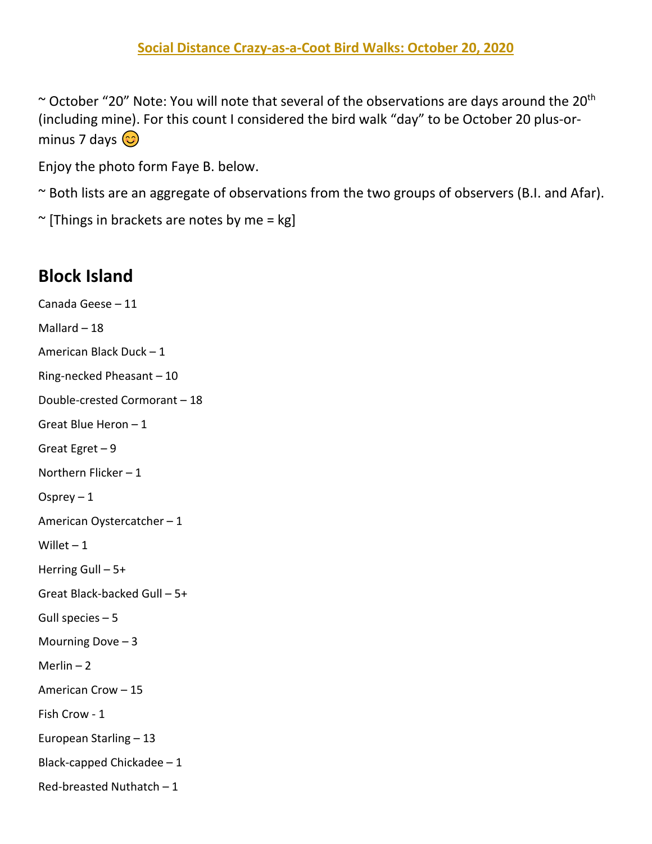$\sim$  October "20" Note: You will note that several of the observations are days around the 20<sup>th</sup> (including mine). For this count I considered the bird walk "day" to be October 20 plus-orminus 7 days  $\circledS$ 

Enjoy the photo form Faye B. below.

~ Both lists are an aggregate of observations from the two groups of observers (B.I. and Afar).

 $\sim$  [Things in brackets are notes by me = kg]

## **Block Island**

Canada Geese – 11 Mallard – 18 American Black Duck – 1 Ring-necked Pheasant – 10 Double-crested Cormorant – 18 Great Blue Heron – 1 Great Egret – 9 Northern Flicker – 1 Osprey  $-1$ American Oystercatcher – 1 Willet  $-1$ Herring Gull – 5+ Great Black-backed Gull – 5+ Gull species – 5 Mourning Dove – 3 Merlin  $-2$ American Crow – 15 Fish Crow - 1 European Starling – 13 Black-capped Chickadee – 1 Red-breasted Nuthatch – 1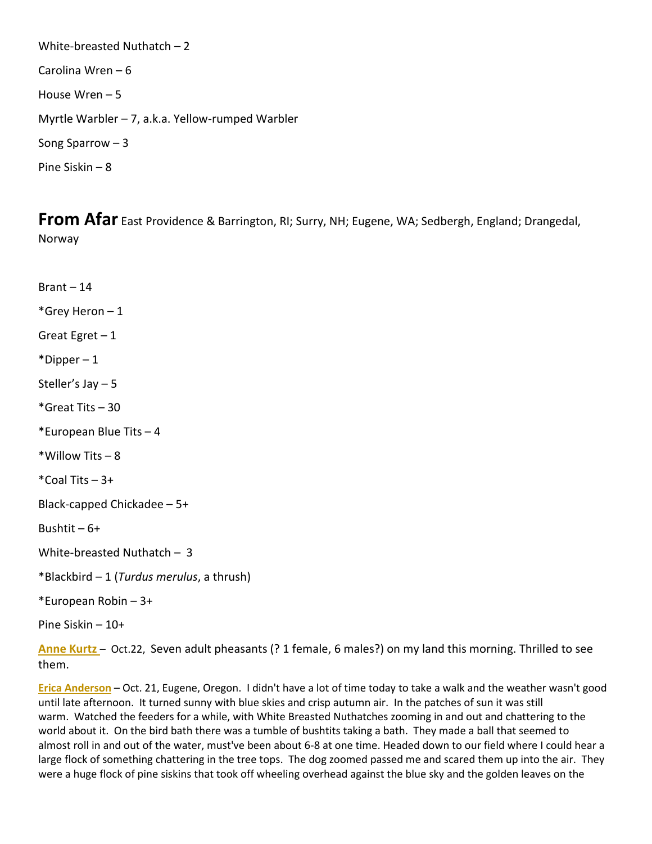White-breasted Nuthatch – 2 Carolina Wren – 6 House Wren – 5 Myrtle Warbler – 7, a.k.a. Yellow-rumped Warbler Song Sparrow – 3 Pine Siskin – 8

**From Afar** East Providence & Barrington, RI; Surry, NH; Eugene, WA; Sedbergh, England; Drangedal, Norway

Brant – 14 \*Grey Heron – 1 Great Egret – 1 \*Dipper – 1 Steller's Jay – 5 \*Great Tits – 30 \*European Blue Tits – 4 \*Willow Tits – 8  $*$ Coal Tits  $-3+$ Black-capped Chickadee – 5+ Bushtit – 6+ White-breasted Nuthatch – 3 \*Blackbird – 1 (*Turdus merulus*, a thrush) \*European Robin – 3+ Pine Siskin – 10+

**Anne Kurtz** – Oct.22, Seven adult pheasants (? 1 female, 6 males?) on my land this morning. Thrilled to see them.

**Erica Anderson** – Oct. 21, Eugene, Oregon. I didn't have a lot of time today to take a walk and the weather wasn't good until late afternoon. It turned sunny with blue skies and crisp autumn air. In the patches of sun it was still warm. Watched the feeders for a while, with White Breasted Nuthatches zooming in and out and chattering to the world about it. On the bird bath there was a tumble of bushtits taking a bath. They made a ball that seemed to almost roll in and out of the water, must've been about 6-8 at one time. Headed down to our field where I could hear a large flock of something chattering in the tree tops. The dog zoomed passed me and scared them up into the air. They were a huge flock of pine siskins that took off wheeling overhead against the blue sky and the golden leaves on the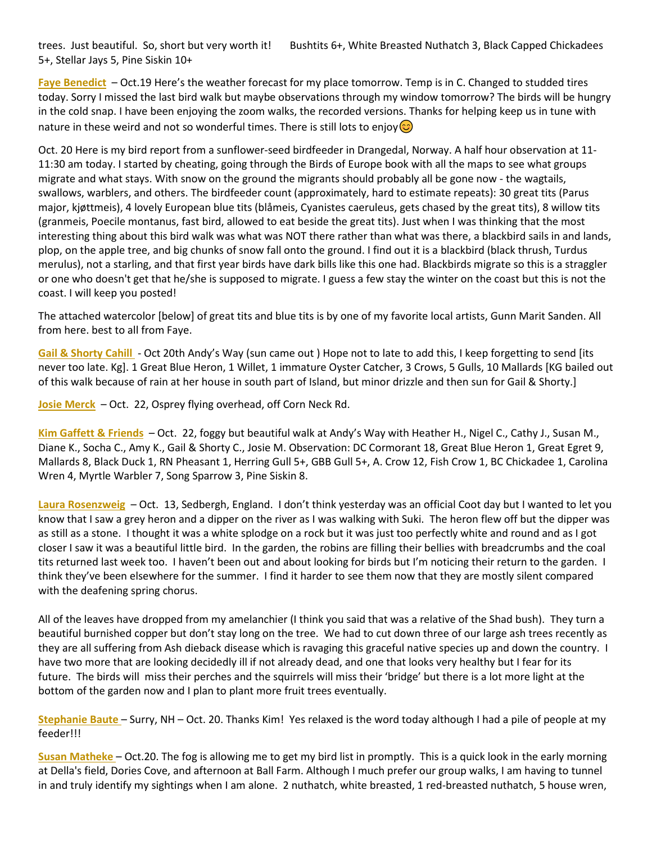trees. Just beautiful. So, short but very worth it! Bushtits 6+, White Breasted Nuthatch 3, Black Capped Chickadees 5+, Stellar Jays 5, Pine Siskin 10+

**Faye Benedict** – Oct.19 Here's the weather forecast for my place tomorrow. Temp is in C. Changed to studded tires today. Sorry I missed the last bird walk but maybe observations through my window tomorrow? The birds will be hungry in the cold snap. I have been enjoying the zoom walks, the recorded versions. Thanks for helping keep us in tune with nature in these weird and not so wonderful times. There is still lots to enjoy  $\circledcirc$ 

Oct. 20 Here is my bird report from a sunflower-seed birdfeeder in Drangedal, Norway. A half hour observation at 11- 11:30 am today. I started by cheating, going through the Birds of Europe book with all the maps to see what groups migrate and what stays. With snow on the ground the migrants should probably all be gone now - the wagtails, swallows, warblers, and others. The birdfeeder count (approximately, hard to estimate repeats): 30 great tits (Parus major, kjøttmeis), 4 lovely European blue tits (blåmeis, Cyanistes caeruleus, gets chased by the great tits), 8 willow tits (granmeis, Poecile montanus, fast bird, allowed to eat beside the great tits). Just when I was thinking that the most interesting thing about this bird walk was what was NOT there rather than what was there, a blackbird sails in and lands, plop, on the apple tree, and big chunks of snow fall onto the ground. I find out it is a blackbird (black thrush, Turdus merulus), not a starling, and that first year birds have dark bills like this one had. Blackbirds migrate so this is a straggler or one who doesn't get that he/she is supposed to migrate. I guess a few stay the winter on the coast but this is not the coast. I will keep you posted!

The attached watercolor [below] of great tits and blue tits is by one of my favorite local artists, Gunn Marit Sanden. All from here. best to all from Faye.

**Gail & Shorty Cahill** - Oct 20th Andy's Way (sun came out ) Hope not to late to add this, I keep forgetting to send [its never too late. Kg]. 1 Great Blue Heron, 1 Willet, 1 immature Oyster Catcher, 3 Crows, 5 Gulls, 10 Mallards [KG bailed out of this walk because of rain at her house in south part of Island, but minor drizzle and then sun for Gail & Shorty.]

**Josie Merck** – Oct. 22, Osprey flying overhead, off Corn Neck Rd.

**Kim Gaffett & Friends** – Oct. 22, foggy but beautiful walk at Andy's Way with Heather H., Nigel C., Cathy J., Susan M., Diane K., Socha C., Amy K., Gail & Shorty C., Josie M. Observation: DC Cormorant 18, Great Blue Heron 1, Great Egret 9, Mallards 8, Black Duck 1, RN Pheasant 1, Herring Gull 5+, GBB Gull 5+, A. Crow 12, Fish Crow 1, BC Chickadee 1, Carolina Wren 4, Myrtle Warbler 7, Song Sparrow 3, Pine Siskin 8.

**Laura Rosenzweig** – Oct. 13, Sedbergh, England. I don't think yesterday was an official Coot day but I wanted to let you know that I saw a grey heron and a dipper on the river as I was walking with Suki. The heron flew off but the dipper was as still as a stone. I thought it was a white splodge on a rock but it was just too perfectly white and round and as I got closer I saw it was a beautiful little bird. In the garden, the robins are filling their bellies with breadcrumbs and the coal tits returned last week too. I haven't been out and about looking for birds but I'm noticing their return to the garden. I think they've been elsewhere for the summer. I find it harder to see them now that they are mostly silent compared with the deafening spring chorus.

All of the leaves have dropped from my amelanchier (I think you said that was a relative of the Shad bush). They turn a beautiful burnished copper but don't stay long on the tree. We had to cut down three of our large ash trees recently as they are all suffering from Ash dieback disease which is ravaging this graceful native species up and down the country. I have two more that are looking decidedly ill if not already dead, and one that looks very healthy but I fear for its future. The birds will miss their perches and the squirrels will miss their 'bridge' but there is a lot more light at the bottom of the garden now and I plan to plant more fruit trees eventually.

**Stephanie Baute** – Surry, NH – Oct. 20. Thanks Kim! Yes relaxed is the word today although I had a pile of people at my feeder!!!

**Susan Matheke** – Oct.20. The fog is allowing me to get my bird list in promptly. This is a quick look in the early morning at Della's field, Dories Cove, and afternoon at Ball Farm. Although I much prefer our group walks, I am having to tunnel in and truly identify my sightings when I am alone. 2 nuthatch, white breasted, 1 red-breasted nuthatch, 5 house wren,